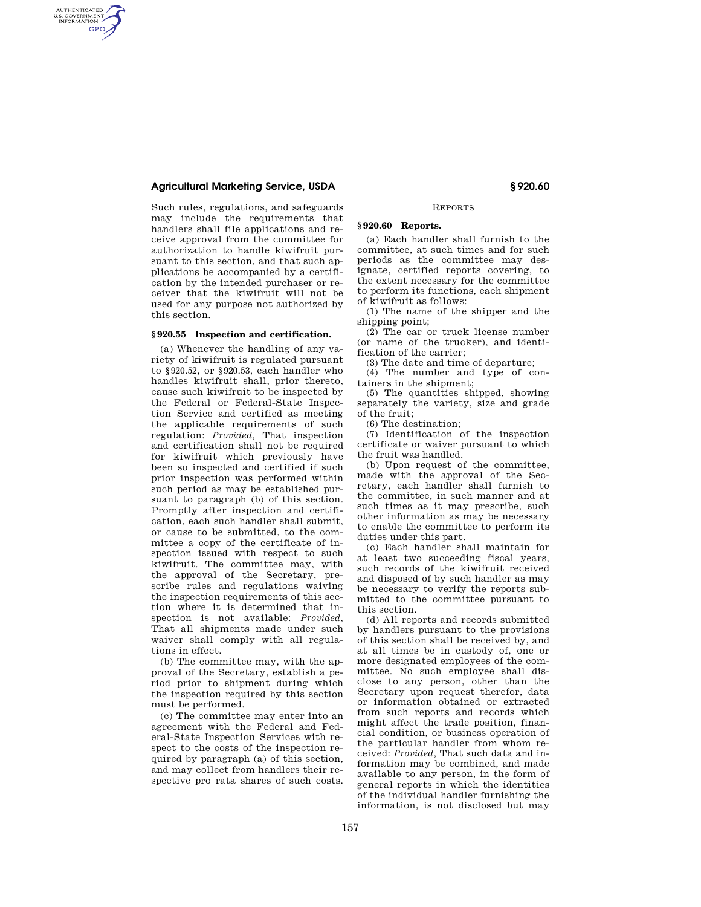## **Agricultural Marketing Service, USDA § 920.60**

AUTHENTICATED<br>U.S. GOVERNMENT<br>INFORMATION GPO

> Such rules, regulations, and safeguards may include the requirements that handlers shall file applications and receive approval from the committee for authorization to handle kiwifruit pursuant to this section, and that such applications be accompanied by a certification by the intended purchaser or receiver that the kiwifruit will not be used for any purpose not authorized by this section.

## **§ 920.55 Inspection and certification.**

(a) Whenever the handling of any variety of kiwifruit is regulated pursuant to §920.52, or §920.53, each handler who handles kiwifruit shall, prior thereto, cause such kiwifruit to be inspected by the Federal or Federal-State Inspection Service and certified as meeting the applicable requirements of such regulation: *Provided,* That inspection and certification shall not be required for kiwifruit which previously have been so inspected and certified if such prior inspection was performed within such period as may be established pursuant to paragraph (b) of this section. Promptly after inspection and certification, each such handler shall submit, or cause to be submitted, to the committee a copy of the certificate of inspection issued with respect to such kiwifruit. The committee may, with the approval of the Secretary, prescribe rules and regulations waiving the inspection requirements of this section where it is determined that inspection is not available: *Provided,*  That all shipments made under such waiver shall comply with all regulations in effect.

(b) The committee may, with the approval of the Secretary, establish a period prior to shipment during which the inspection required by this section must be performed.

(c) The committee may enter into an agreement with the Federal and Federal-State Inspection Services with respect to the costs of the inspection required by paragraph (a) of this section, and may collect from handlers their respective pro rata shares of such costs.

#### REPORTS

# **§ 920.60 Reports.**

(a) Each handler shall furnish to the committee, at such times and for such periods as the committee may designate, certified reports covering, to the extent necessary for the committee to perform its functions, each shipment of kiwifruit as follows:

(1) The name of the shipper and the shipping point;

(2) The car or truck license number (or name of the trucker), and identi-

fication of the carrier; (3) The date and time of departure;

(4) The number and type of con-

tainers in the shipment; (5) The quantities shipped, showing separately the variety, size and grade of the fruit;

(6) The destination;

(7) Identification of the inspection certificate or waiver pursuant to which the fruit was handled.

(b) Upon request of the committee, made with the approval of the Secretary, each handler shall furnish to the committee, in such manner and at such times as it may prescribe, such other information as may be necessary to enable the committee to perform its duties under this part.

(c) Each handler shall maintain for at least two succeeding fiscal years, such records of the kiwifruit received and disposed of by such handler as may be necessary to verify the reports submitted to the committee pursuant to this section.

(d) All reports and records submitted by handlers pursuant to the provisions of this section shall be received by, and at all times be in custody of, one or more designated employees of the committee. No such employee shall disclose to any person, other than the Secretary upon request therefor, data or information obtained or extracted from such reports and records which might affect the trade position, financial condition, or business operation of the particular handler from whom received: *Provided,* That such data and information may be combined, and made available to any person, in the form of general reports in which the identities of the individual handler furnishing the information, is not disclosed but may